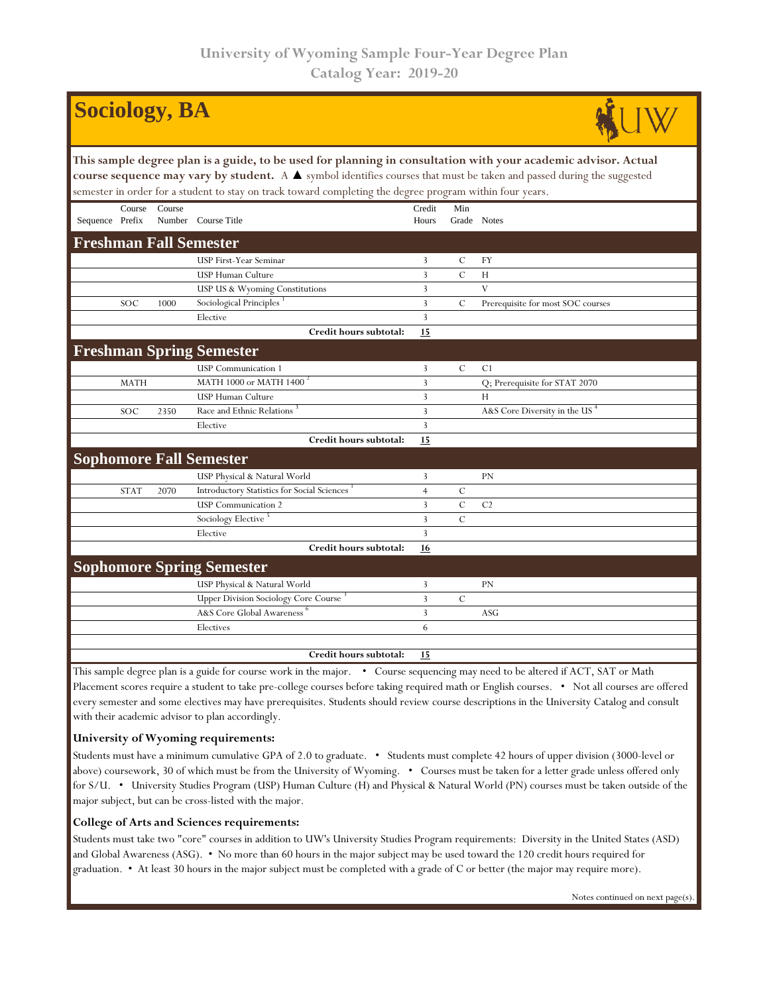| <b>Sociology, BA</b>                                                                                                                                                                                                                                                                                                                                               |             |        |                                                        |                 |                    |                                   |  |  |  |  |
|--------------------------------------------------------------------------------------------------------------------------------------------------------------------------------------------------------------------------------------------------------------------------------------------------------------------------------------------------------------------|-------------|--------|--------------------------------------------------------|-----------------|--------------------|-----------------------------------|--|--|--|--|
| This sample degree plan is a guide, to be used for planning in consultation with your academic advisor. Actual<br>course sequence may vary by student. A $\blacktriangle$ symbol identifies courses that must be taken and passed during the suggested<br>semester in order for a student to stay on track toward completing the degree program within four years. |             |        |                                                        |                 |                    |                                   |  |  |  |  |
| Sequence Prefix                                                                                                                                                                                                                                                                                                                                                    | Course      | Course | Number Course Title                                    | Credit<br>Hours | Min<br>Grade Notes |                                   |  |  |  |  |
|                                                                                                                                                                                                                                                                                                                                                                    |             |        | <b>Freshman Fall Semester</b>                          |                 |                    |                                   |  |  |  |  |
|                                                                                                                                                                                                                                                                                                                                                                    |             |        | USP First-Year Seminar                                 | 3               | $\mathcal{C}$      | FY                                |  |  |  |  |
|                                                                                                                                                                                                                                                                                                                                                                    |             |        | USP Human Culture                                      | $\overline{3}$  | $\mathcal{C}$      | H                                 |  |  |  |  |
|                                                                                                                                                                                                                                                                                                                                                                    |             |        | USP US & Wyoming Constitutions                         | $\mathbf{3}$    |                    | $\mathbf{V}$                      |  |  |  |  |
|                                                                                                                                                                                                                                                                                                                                                                    | SOC         | 1000   | Sociological Principles                                | $\overline{3}$  | $\mathcal{C}$      | Prerequisite for most SOC courses |  |  |  |  |
|                                                                                                                                                                                                                                                                                                                                                                    |             |        | Elective                                               | $\overline{3}$  |                    |                                   |  |  |  |  |
|                                                                                                                                                                                                                                                                                                                                                                    |             |        | Credit hours subtotal:                                 | 15              |                    |                                   |  |  |  |  |
|                                                                                                                                                                                                                                                                                                                                                                    |             |        | <b>Freshman Spring Semester</b>                        |                 |                    |                                   |  |  |  |  |
|                                                                                                                                                                                                                                                                                                                                                                    |             |        | <b>USP</b> Communication 1                             | 3               | $\mathcal C$       | C <sub>1</sub>                    |  |  |  |  |
|                                                                                                                                                                                                                                                                                                                                                                    | <b>MATH</b> |        | MATH 1000 or MATH 1400 <sup>2</sup>                    | 3               |                    | Q; Prerequisite for STAT 2070     |  |  |  |  |
|                                                                                                                                                                                                                                                                                                                                                                    |             |        | USP Human Culture                                      | $\overline{3}$  |                    | Н                                 |  |  |  |  |
|                                                                                                                                                                                                                                                                                                                                                                    | SOC         | 2350   | Race and Ethnic Relations                              | $\overline{3}$  |                    | A&S Core Diversity in the US      |  |  |  |  |
|                                                                                                                                                                                                                                                                                                                                                                    |             |        | Elective                                               | $\overline{3}$  |                    |                                   |  |  |  |  |
|                                                                                                                                                                                                                                                                                                                                                                    |             |        | Credit hours subtotal:                                 | 15              |                    |                                   |  |  |  |  |
|                                                                                                                                                                                                                                                                                                                                                                    |             |        | <b>Sophomore Fall Semester</b>                         |                 |                    |                                   |  |  |  |  |
|                                                                                                                                                                                                                                                                                                                                                                    |             |        | USP Physical & Natural World                           | 3               |                    | PN                                |  |  |  |  |
|                                                                                                                                                                                                                                                                                                                                                                    | <b>STAT</b> | 2070   | Introductory Statistics for Social Sciences            | $\overline{4}$  | $\mathcal{C}$      |                                   |  |  |  |  |
|                                                                                                                                                                                                                                                                                                                                                                    |             |        | <b>USP</b> Communication 2                             | $\overline{3}$  | $\cal C$           | C <sub>2</sub>                    |  |  |  |  |
|                                                                                                                                                                                                                                                                                                                                                                    |             |        | Sociology Elective                                     | $\overline{3}$  | $\mathcal{C}$      |                                   |  |  |  |  |
|                                                                                                                                                                                                                                                                                                                                                                    |             |        | Elective                                               | $\overline{3}$  |                    |                                   |  |  |  |  |
|                                                                                                                                                                                                                                                                                                                                                                    |             |        | Credit hours subtotal:                                 | 16              |                    |                                   |  |  |  |  |
|                                                                                                                                                                                                                                                                                                                                                                    |             |        | <b>Sophomore Spring Semester</b>                       |                 |                    |                                   |  |  |  |  |
|                                                                                                                                                                                                                                                                                                                                                                    |             |        | USP Physical & Natural World                           | 3               |                    | PN                                |  |  |  |  |
|                                                                                                                                                                                                                                                                                                                                                                    |             |        | Upper Division Sociology Core Course <sup>3</sup>      | 3               | $\mathcal{C}$      |                                   |  |  |  |  |
|                                                                                                                                                                                                                                                                                                                                                                    |             |        | A&S Core Global Awareness                              | 3               |                    | ASG                               |  |  |  |  |
|                                                                                                                                                                                                                                                                                                                                                                    |             |        | Electives                                              | 6               |                    |                                   |  |  |  |  |
|                                                                                                                                                                                                                                                                                                                                                                    |             |        |                                                        |                 |                    |                                   |  |  |  |  |
|                                                                                                                                                                                                                                                                                                                                                                    |             |        | Credit hours subtotal:<br>$\mathbf{I}$<br>$\mathbf{1}$ | 15              |                    |                                   |  |  |  |  |

This sample degree plan is a guide for course work in the major. • Course sequencing may need to be altered if ACT, SAT or Math Placement scores require a student to take pre-college courses before taking required math or English courses. • Not all courses are offered every semester and some electives may have prerequisites. Students should review course descriptions in the University Catalog and consult with their academic advisor to plan accordingly.

## **University of Wyoming requirements:**

Students must have a minimum cumulative GPA of 2.0 to graduate. • Students must complete 42 hours of upper division (3000-level or above) coursework, 30 of which must be from the University of Wyoming. • Courses must be taken for a letter grade unless offered only for S/U. • University Studies Program (USP) Human Culture (H) and Physical & Natural World (PN) courses must be taken outside of the major subject, but can be cross-listed with the major.

## **College of Arts and Sciences requirements:**

Students must take two "core" courses in addition to UW's University Studies Program requirements: Diversity in the United States (ASD) and Global Awareness (ASG). • No more than 60 hours in the major subject may be used toward the 120 credit hours required for graduation. • At least 30 hours in the major subject must be completed with a grade of C or better (the major may require more).